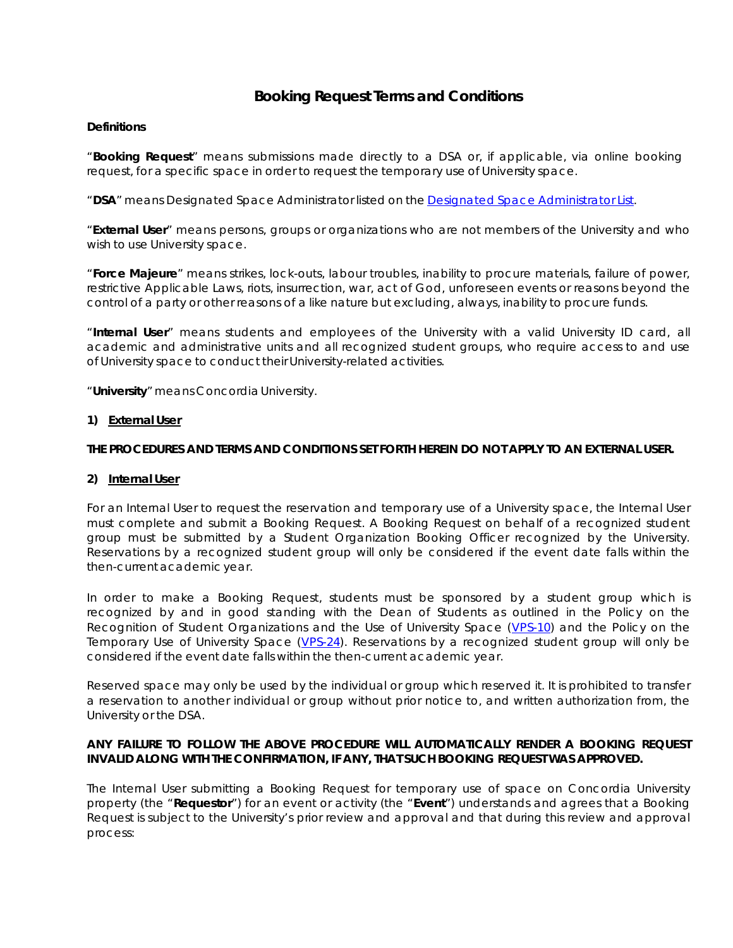# **Booking Request Terms and Conditions**

### **Definitions**

"**Booking Request**" means submissions made directly to a DSA or, if applicable, via online booking request, for a specific space in order to request the temporary use of University space.

"**DSA**" means Designated Space Administrator listed on the Designated Space Administrator List.

"**External User**" means persons, groups or organizations who are not members of the University and who wish to use University space.

"**Force Majeure**" means strikes, lock-outs, labour troubles, inability to procure materials, failure of power, restrictive Applicable Laws, riots, insurrection, war, act of God, unforeseen events or reasons beyond the control of a party or other reasons of a like nature but excluding, always, inability to procure funds.

"**Internal User**" means students and employees of the University with a valid University ID card, all academic and administrative units and all recognized student groups, who require access to and use of University space to conduct their University-related activities.

"**University**" means ConcordiaUniversity.

### **1) External User**

### **THE PROCEDURES AND TERMS AND CONDITIONS SET FORTH HEREIN DO NOT APPLY TO AN EXTERNAL USER.**

### **2) Internal User**

For an Internal User to request the reservation and temporary use of a University space, the Internal User must complete and submit a Booking Request. A Booking Request on behalf of a recognized student group must be submitted by a Student Organization Booking Officer recognized by the University. Reservations by a recognized student group will only be considered if the event date falls within the then-current academic year.

In order to make a Booking Request, students must be sponsored by a student group which is recognized by and in good standing with the Dean of Students as outlined in the Policy on the Recognition of Student Organizations and the Use of University Space (VPS-10) and the Policy on the Temporary Use of University Space (VPS-24). Reservations by a recognized student group will only be considered if the event date falls within the then-current academic year.

Reserved space may only be used by the individual or group which reserved it. It is prohibited to transfer a reservation to another individual or group without prior notice to, and written authorization from, the University or the DSA.

### **ANY FAILURE TO FOLLOW THE ABOVE PROCEDURE WILL AUTOMATICALLY RENDER A BOOKING REQUEST INVALID ALONG WITH THE CONFIRMATION, IF ANY, THAT SUCH BOOKING REQUEST WAS APPROVED.**

The Internal User submitting a Booking Request for temporary use of space on Concordia University property (the "**Requestor**") for an event or activity (the "**Event**") understands and agrees that a Booking Request is subject to the University's prior review and approval and that during this review and approval process: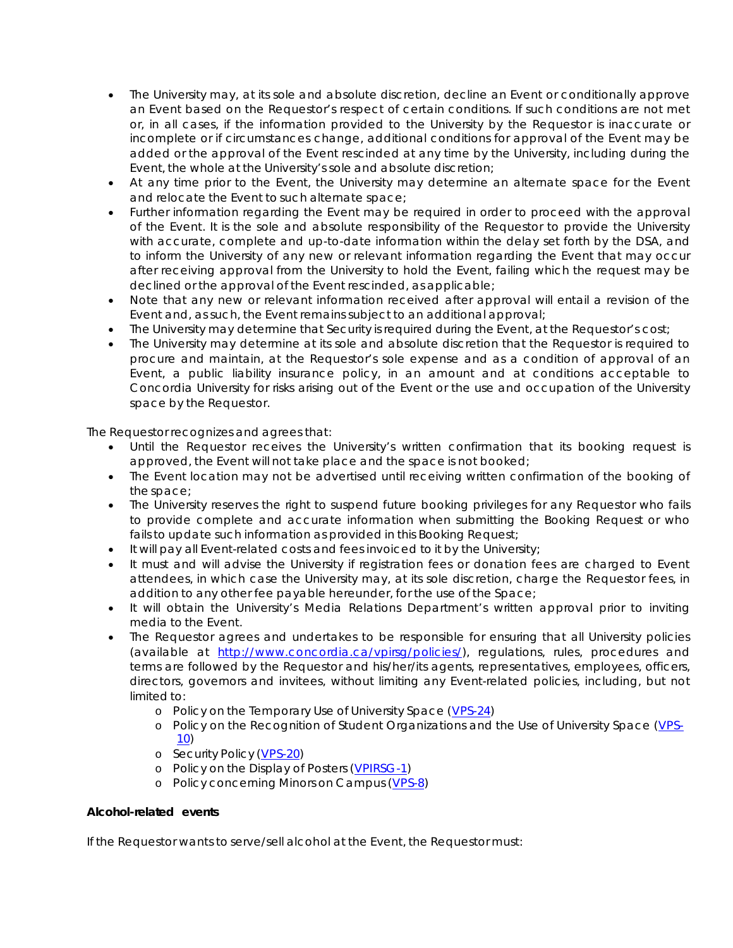- The University may, at its sole and absolute discretion, decline an Event or conditionally approve an Event based on the Requestor's respect of certain conditions. If such conditions are not met or, in all cases, if the information provided to the University by the Requestor is inaccurate or incomplete or if circumstances change, additional conditions for approval of the Event may be added or the approval of the Event rescinded at any time by the University, including during the Event, the whole at the University's sole and absolute discretion;
- At any time prior to the Event, the University may determine an alternate space for the Event and relocate the Event to such alternate space;
- Further information regarding the Event may be required in order to proceed with the approval of the Event. It is the sole and absolute responsibility of the Requestor to provide the University with accurate, complete and up-to-date information within the delay set forth by the DSA, and to inform the University of any new or relevant information regarding the Event that may occur after receiving approval from the University to hold the Event, failing which the request may be declined or the approval of the Event rescinded, as applicable;
- Note that any new or relevant information received after approval will entail a revision of the Event and, as such, the Event remains subject to an additional approval;
- The University may determine that Security is required during the Event, at the Requestor's cost;
- The University may determine at its sole and absolute discretion that the Requestor is required to procure and maintain, at the Requestor's sole expense and as a condition of approval of an Event, a public liability insurance policy, in an amount and at conditions acceptable to Concordia University for risks arising out of the Event or the use and occupation of the University space by the Requestor.

The Requestor recognizes and agrees that:

- Until the Requestor receives the University's written confirmation that its booking request is approved, the Event will not take place and the space is not booked;
- The Event location may not be advertised until receiving written confirmation of the booking of the space;
- The University reserves the right to suspend future booking privileges for any Requestor who fails to provide complete and accurate information when submitting the Booking Request or who fails to update such information as provided in this Booking Request;
- It will pay all Event-related costs and fees invoiced to it by the University;
- It must and will advise the University if registration fees or donation fees are charged to Event attendees, in which case the University may, at its sole discretion, charge the Requestor fees, in addition to any other fee payable hereunder, for the use of the Space;
- It will obtain the University's Media Relations Department's written approval prior to inviting media to the Event.
- The Requestor agrees and undertakes to be responsible for ensuring that all University policies (available at [http://www.concordia.ca/vpirsg/policies/\),](http://www.concordia.ca/vpirsg/policies/)) regulations, rules, procedures and terms are followed by the Requestor and his/her/its agents, representatives, employees, officers, directors, governors and invitees, without limiting any Event-related policies, including, but not limited to:
	- o Policy on the Temporary Use of University Space (VPS-24)
	- o Policy on the Recognition of Student Organizations and the Use of University Space (VPS-10)
	- o Security Policy (VPS-20)
	- o Policy on the Display of Posters (VPIRSG-1)
	- o Policy concerning Minors on Campus (VPS-8)

# **Alcohol-related events**

If the Requestor wants to serve/sell alcohol at the Event, the Requestor must: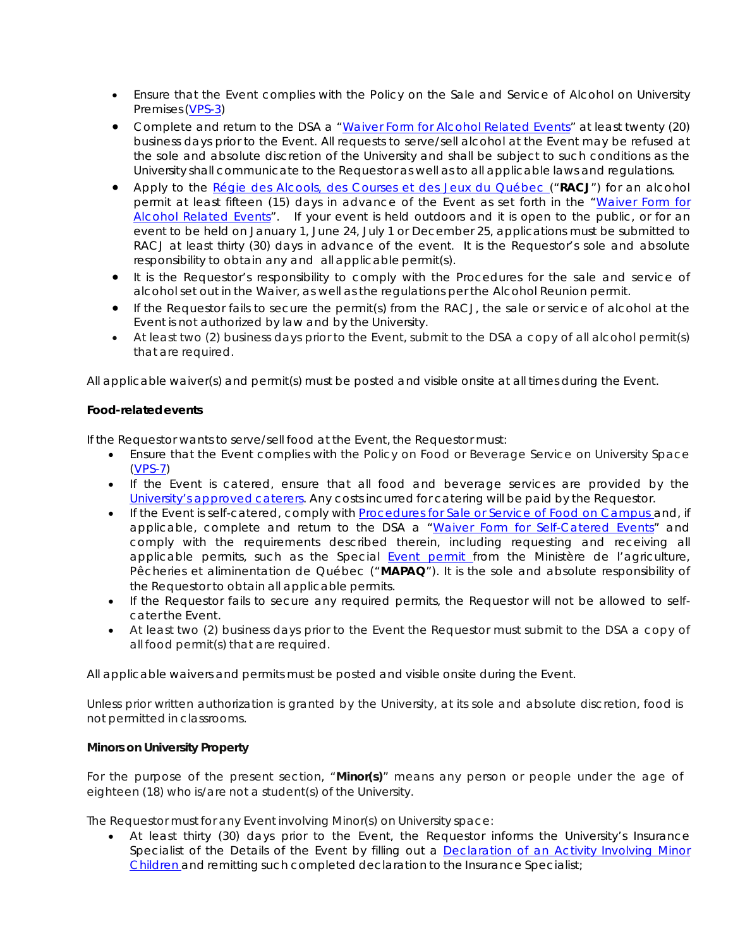- Ensure that the Event complies with the Policy on the Sale and Service of Alcohol on University Premises(VPS-3)
- Complete and return to the DSA a "Waiver Form for Alcohol Related Events" at least twenty (20) business days prior to the Event. All requests to serve/sell alcohol at the Event may be refused at the sole and absolute discretion of the University and shall be subject to such conditions as the University shall communicate to the Requestor as well as to all applicable laws and regulations.
- Apply to the *Régie des Alcools, des Courses et des Jeux du Québec* ("**RACJ**") for an alcohol permit at least fifteen (15) days in advance of the Event as set forth in the "Waiver Form for Alcohol Related Events". If your event is held outdoors and it is open to the public, or for an event to be held on January 1, June 24, July 1 or December 25, applications must be submitted to RACJ at least thirty (30) days in advance of the event. It is the Requestor's sole and absolute responsibility to obtain any and all applicable permit(s).
- It is the Requestor's responsibility to comply with the Procedures for the sale and service of alcohol set out in the Waiver, as well as the regulations per the Alcohol Reunion permit.
- If the Requestor fails to secure the permit(s) from the RACJ, the sale or service of alcohol at the Event is not authorized by law and by the University.
- At least two (2) business days prior to the Event, submit to the DSA a copy of all alcohol permit(s) that are required.

All applicable waiver(s) and permit(s) must be posted and visible onsite at all times during the Event.

# **Food-relatedevents**

If the Requestor wants to serve/sell food at the Event, the Requestor must:

- Ensure that the Event complies with the Policy on Food or Beverage Service on University Space (VPS-7)
- If the Event is catered, ensure that all food and beverage services are provided by the University's approved caterers. Any costs incurred for catering will be paid by the Requestor.
- If the Event is self-catered, comply with Procedures for Sale or Service of Food on Campus and, if applicable, complete and return to the DSA a "Waiver Form for Self-Catered Events" and comply with the requirements described therein, including requesting and receiving all applicable permits, *such as the Special Event permit from the Ministère de l'agriculture, Pêcheries et aliminentation de Québec ("MAPAQ")*. It is the sole and absolute responsibility of the Requestor to obtain all applicable permits.
- If the Requestor fails to secure any required permits, the Requestor will not be allowed to selfcater the Event.
- At least two (2) business days prior to the Event the Requestor must submit to the DSA a copy of all food permit(s) that are required.

All applicable waivers and permits must be posted and visible onsite during the Event.

Unless prior written authorization is granted by the University, at its sole and absolute discretion, food is not permitted in classrooms.

# **Minors on University Property**

For the purpose of the present section, "**Minor(s)**" means any person or people under the age of eighteen (18) who is/are not a student(s) of the University.

The Requestor must for any Event involving Minor(s) on University space:

• At least thirty (30) days prior to the Event, the Requestor informs the University's Insurance Specialist of the Details of the Event by filling out a Declaration of an Activity Involving Minor Children and remitting such completed declaration to the Insurance Specialist;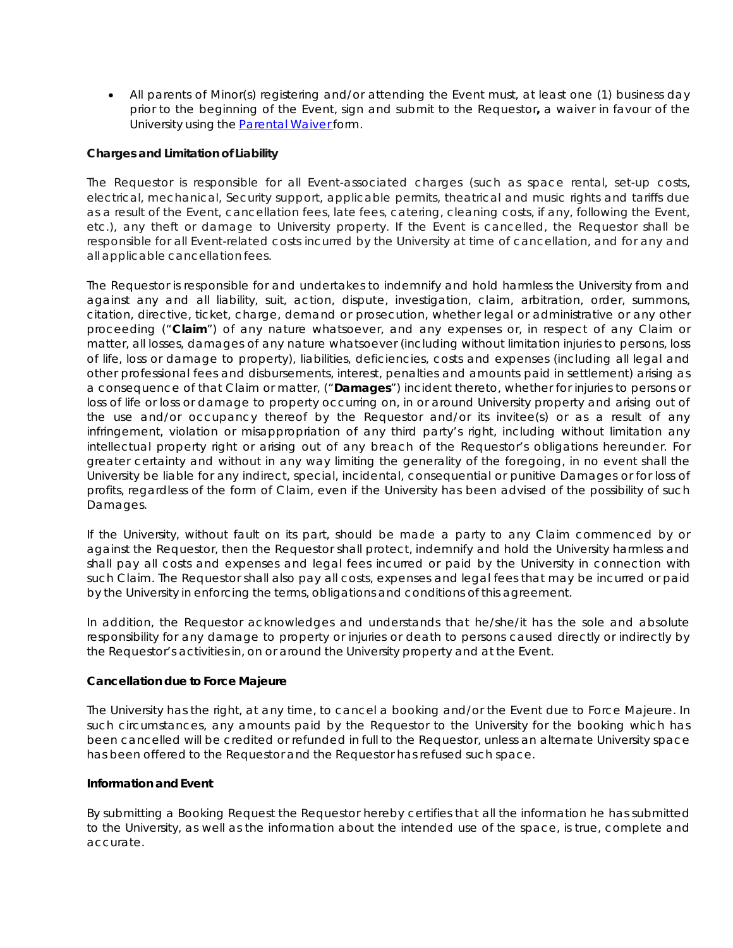• All parents of Minor(s) registering and/or attending the Event must, at least one (1) business day prior to the beginning of the Event, sign and submit to the Requestor**,** a waiver in favour of the University using the **Parental Waiver form.** 

# **Charges and Limitation of Liability**

The Requestor is responsible for all Event-associated charges (such as space rental, set-up costs, electrical, mechanical, Security support, applicable permits, theatrical and music rights and tariffs due as a result of the Event, cancellation fees, late fees, catering, cleaning costs, if any, following the Event, etc.), any theft or damage to University property. If the Event is cancelled, the Requestor shall be responsible for all Event-related costs incurred by the University at time of cancellation, and for any and all applicable cancellation fees.

The Requestor is responsible for and undertakes to indemnify and hold harmless the University from and against any and all liability, suit, action, dispute, investigation, claim, arbitration, order, summons, citation, directive, ticket, charge, demand or prosecution, whether legal or administrative or any other proceeding ("**Claim**") of any nature whatsoever, and any expenses or, in respect of any Claim or matter, all losses, damages of any nature whatsoever (including without limitation injuries to persons, loss of life, loss or damage to property), liabilities, deficiencies, costs and expenses (including all legal and other professional fees and disbursements, interest, penalties and amounts paid in settlement) arising as a consequence of that Claim or matter, ("**Damages**") incident thereto, whether for injuries to persons or loss of life or loss or damage to property occurring on, in or around University property and arising out of the use and/or occupancy thereof by the Requestor and/or its invitee(s) or as a result of any infringement, violation or misappropriation of any third party's right, including without limitation any intellectual property right or arising out of any breach of the Requestor's obligations hereunder. For greater certainty and without in any way limiting the generality of the foregoing, in no event shall the University be liable for any indirect, special, incidental, consequential or punitive Damages or for loss of profits, regardless of the form of Claim, even if the University has been advised of the possibility of such Damages.

If the University, without fault on its part, should be made a party to any Claim commenced by or against the Requestor, then the Requestor shall protect, indemnify and hold the University harmless and shall pay all costs and expenses and legal fees incurred or paid by the University in connection with such Claim. The Requestor shall also pay all costs, expenses and legal fees that may be incurred or paid by the University in enforcing the terms, obligations and conditions of this agreement.

In addition, the Requestor acknowledges and understands that he/she/it has the sole and absolute responsibility for any damage to property or injuries or death to persons caused directly or indirectly by the Requestor's activities in, on or around the University property and at the Event.

# **Cancellation due to Force Majeure**

The University has the right, at any time, to cancel a booking and/or the Event due to Force Majeure. In such circumstances, any amounts paid by the Requestor to the University for the booking which has been cancelled will be credited or refunded in full to the Requestor, unless an alternate University space has been offered to the Requestor and the Requestor has refused such space.

### **Information and Event**

By submitting a Booking Request the Requestor hereby certifies that all the information he has submitted to the University, as well as the information about the intended use of the space, is true, complete and accurate.